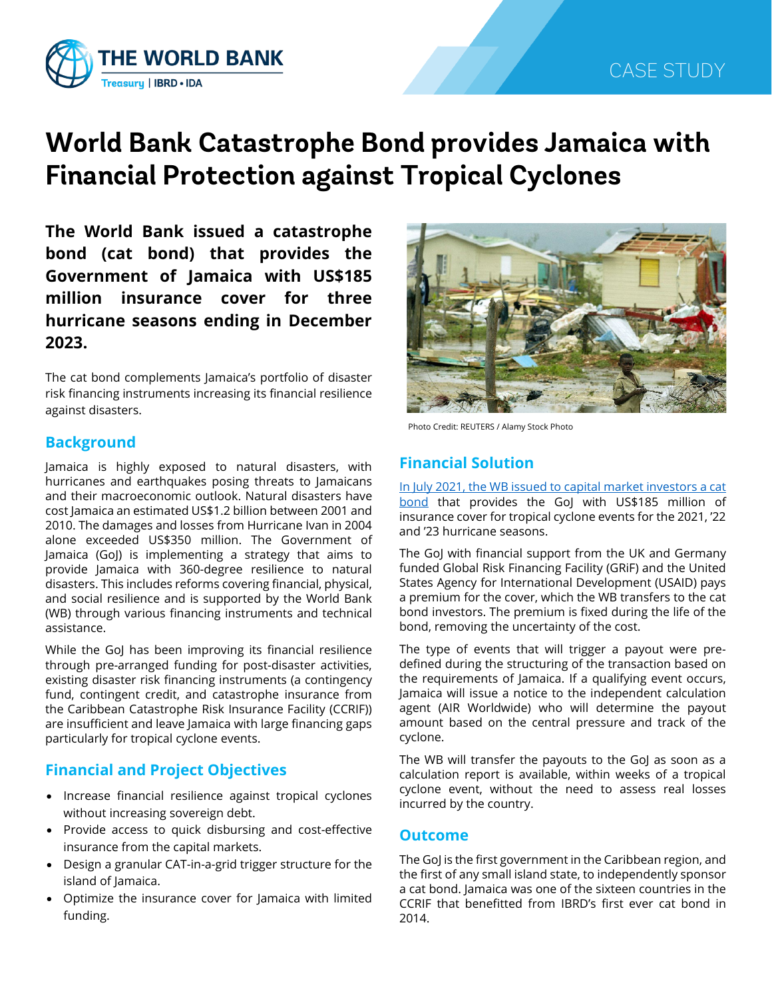

# **World Bank Catastrophe Bond provides Jamaica with Financial Protection against Tropical Cyclones**

**The World Bank issued a catastrophe bond (cat bond) that provides the Government of Jamaica with US\$185 million insurance cover for three hurricane seasons ending in December 2023.**

The cat bond complements Jamaica's portfolio of disaster risk financing instruments increasing its financial resilience against disasters.

#### **Background**

Jamaica is highly exposed to natural disasters, with hurricanes and earthquakes posing threats to Jamaicans and their macroeconomic outlook. Natural disasters have cost Jamaica an estimated US\$1.2 billion between 2001 and 2010. The damages and losses from Hurricane Ivan in 2004 alone exceeded US\$350 million. The Government of Jamaica (GoJ) is implementing a strategy that aims to provide Jamaica with 360-degree resilience to natural disasters. This includes reforms covering financial, physical, and social resilience and is supported by the World Bank (WB) through various financing instruments and technical assistance.

While the GoJ has been improving its financial resilience through pre-arranged funding for post-disaster activities, existing disaster risk financing instruments (a contingency fund, contingent credit, and catastrophe insurance from the Caribbean Catastrophe Risk Insurance Facility (CCRIF)) are insufficient and leave Jamaica with large financing gaps particularly for tropical cyclone events.

## **Financial and Project Objectives**

- Increase financial resilience against tropical cyclones without increasing sovereign debt.
- Provide access to quick disbursing and cost-effective insurance from the capital markets.
- Design a granular CAT-in-a-grid trigger structure for the island of Jamaica.
- Optimize the insurance cover for Jamaica with limited funding.



Photo Credit: REUTERS / Alamy Stock Photo

## **Financial Solution**

[In July 2021, the WB issued to capital market investors a cat](https://www.worldbank.org/en/news/press-release/2021/07/19/world-bank-catastrophe-bond-provides-jamaica-185-million-in-storm-protection)  [bond](https://www.worldbank.org/en/news/press-release/2021/07/19/world-bank-catastrophe-bond-provides-jamaica-185-million-in-storm-protection) that provides the GoJ with US\$185 million of insurance cover for tropical cyclone events for the 2021, '22 and '23 hurricane seasons.

The GoJ with financial support from the UK and Germany funded Global Risk Financing Facility (GRiF) and the United States Agency for International Development (USAID) pays a premium for the cover, which the WB transfers to the cat bond investors. The premium is fixed during the life of the bond, removing the uncertainty of the cost.

The type of events that will trigger a payout were predefined during the structuring of the transaction based on the requirements of Jamaica. If a qualifying event occurs, Jamaica will issue a notice to the independent calculation agent (AIR Worldwide) who will determine the payout amount based on the central pressure and track of the cyclone.

The WB will transfer the payouts to the GoJ as soon as a calculation report is available, within weeks of a tropical cyclone event, without the need to assess real losses incurred by the country.

#### **Outcome**

The GoJ is the first government in the Caribbean region, and the first of any small island state, to independently sponsor a cat bond. Jamaica was one of the sixteen countries in the CCRIF that benefitted from IBRD's first ever cat bond in 2014.